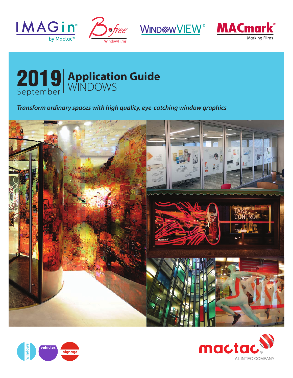









### *Transform ordinary spaces with high quality, eye-catching window graphics*





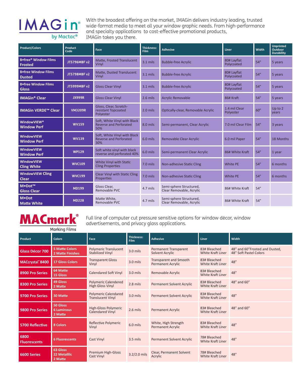## **IMAGin**<sup>®</sup> by Mactac<sup>®</sup>

With the broadest offering on the market, IMAGin delivers industry leading, trusted wide-format media to meet all your window graphic needs. From high-performance and specialty applications to cost-effective promotional products, IMAGin takes you there.

| <b>Product/Colors</b>                               | Product<br>Code | Face                                                                 | Thickness:<br>Film | <b>Adhesive</b>                                     | <b>Liner</b>               | <b>Width</b> | <b>Unprinted</b><br>Outdoor<br>Durability |
|-----------------------------------------------------|-----------------|----------------------------------------------------------------------|--------------------|-----------------------------------------------------|----------------------------|--------------|-------------------------------------------|
| Bofree <sup>®</sup> Window Films<br>Frosted         | JT5796MBF v2    | Matte, Frosted Translucent<br>Vinvl                                  | $3.1$ mils         | <b>Bubble-free Acrylic</b>                          | 80# Layflat<br>Polycoated  | 54''         | 5 years                                   |
| Bofree Window Films<br><b>Dusted</b>                | JT5798MBF v2    | Matte, Dusted Translucent<br>Vinvl                                   | $3.1$ mils         | <b>Bubble-free Acrylic</b>                          | 80# Layflat<br>Polycoated  | 54''         | 5 years                                   |
| <b>B</b> •free Window Films<br>Gloss                | JT5999MBF v2    | <b>Gloss Clear Vinyl</b>                                             | 3.1 mils           | <b>Bubble-free Acrylic</b>                          | 80# Layflat<br>Polycoated  | 54''         | 5 years                                   |
| <b>IMAGin<sup>®</sup> Clear</b>                     | <b>JX999R</b>   | <b>Gloss Clear Vinyl</b>                                             | 2.6 mils           | <b>Acrylic Removable</b>                            | 86# Kraft                  | 54''         | 5 years                                   |
| <b>IMAGin VERDE™ Clear</b>                          | <b>VM3209R</b>  | Gloss, Clear, Scratch-<br>resistant Topcoated<br>Polyester           | 2.0 mils           | Optically-clear, Removable Acrylic                  | 1.4 mil Clear<br>Polyester | 60''         | Up to 2<br>years                          |
| <b>WindowVIEW<sup>®</sup></b><br><b>Window Perf</b> | <b>WV159</b>    | Soft, White Vinyl with Black<br><b>Reverse and Perforated</b><br>50% | 8.0 mils           | Semi-permanent, Clear Acrylic                       | 7.0 mil Clear Film 54"     |              | 3 years                                   |
| WindowVIEW<br><b>Window Perf</b>                    | <b>WV139</b>    | Soft, White Vinyl with Black<br><b>Reverse and Perforated</b><br>30% | 6.0 mils           | Removable Clear Acrylic                             | 6.0 mil Paper              | 54''         | 18 Months                                 |
| <b>WindowVIEW</b><br><b>Window Perf</b>             | <b>WP129</b>    | Soft white vinyl with black<br>reverse and perforated 40%            | 6.0 mils           | Semi-permanent Clear Acrylic                        | 86# White Kraft            | 54''         | 1 year                                    |
| WindowVIEW<br><b>Cling White</b>                    | <b>WVC109</b>   | White Vinyl with Static<br><b>Cling Properties</b>                   | 7.0 mils           | Non-adhesive Static Cling                           | White PE                   | 54''         | 6 months                                  |
| <b>WindowVIEW Cling</b><br><b>Clear</b>             | <b>WVC199</b>   | <b>Clear Vinyl with Static Cling</b><br>Properties                   | 7.0 mils           | Non-adhesive Static Cling                           | White PE                   | 54''         | 6 months                                  |
| M.Dot™<br><b>Gloss Clear</b>                        | <b>MD199</b>    | Gloss Clear,<br>Removable PVC                                        | 4.7 mils           | Semi-sphere Structured,<br>Clear Removable, Acrylic | 86# White Kraft            | 54''         |                                           |
| M•Dot<br><b>Matte White</b>                         | <b>MD228</b>    | Matte White,<br>Removable PVC                                        | 4.7 mils           | Semi-sphere Structured,<br>Clear Removable, Acrylic | 86# White Kraft            | 54''         |                                           |

### **MACmark®** Marking Films

Full line of computer cut pressure sensitive options for window décor, window advertisements, and privacy glass applications.

| Product                     | <b>Colors</b>                              | Face                                                    | <b>Thickness:</b><br>Film | <b>Adhesive</b>                                           | Liner                             | <b>Width</b>                                             |
|-----------------------------|--------------------------------------------|---------------------------------------------------------|---------------------------|-----------------------------------------------------------|-----------------------------------|----------------------------------------------------------|
| Glass Décor 700             | <b>5 Matte Colors</b><br>2 Matte Finishes  | <b>Polymeric Translucent</b><br><b>Stabilized Vinyl</b> | 3.0 mils                  | <b>Permanent Transparent</b><br>Solvent Acrylic           | 83# Bleached<br>White Kraft Liner | 48" and 60"Frosted and Dusted,<br>48" Soft Pastel Colors |
| MACcrystal®8400             | <b>17 Gloss Colors</b>                     | <b>Transparent Gloss</b><br>Vinvl                       | 3.0 mils                  | <b>Transparent and Smooth</b><br><b>Permanent Acrylic</b> | 83# Bleached<br>White Kraft Liner | 48''                                                     |
| 8900 Pro Series             | 64 Matte<br>15 Gloss                       | <b>Calendared Soft Vinyl</b>                            | 3.0 mils                  | Removable Acrylic                                         | 83# Bleached<br>White Kraft Liner | 48''                                                     |
| 8300 Pro Series             | 49 Gloss<br>2 Matte                        | <b>Polymeric Calendered</b><br><b>High Gloss Vinyl</b>  | 2.8 mils                  | Permanent Solvent Acrylic                                 | 83# Bleached<br>White Kraft Liner | 48" and 60"                                              |
| 9700 Pro Series             | 30 Matte                                   | <b>Polymeric Calendared</b><br><b>Translucent Vinyl</b> | 3.0 mils                  | Permanent Solvent Acrylic                                 | 83# Bleached<br>White Kraft Liner | 48''                                                     |
| 9800 Pro Series             | 50 Gloss<br><b>6 Luminous</b><br>2 Matte   | High-Gloss Polymeric<br>Calendared Vinyl                | $2.6$ mils                | <b>Permanent Acrylic</b>                                  | 83# Bleached<br>White Kraft Liner | 48" and 60"                                              |
| 5700 Reflective             | 8 Colors                                   | <b>Reflective Polymeric</b><br>Vinyl                    | 6.0 mils                  | White, High Strength<br><b>Permanent Acrylic</b>          | 83# Bleached<br>White Kraft Liner | 48''                                                     |
| 6800<br><b>Fluorescents</b> | <b>6 Fluorescents</b>                      | Cast Vinyl                                              | 3.5 mils                  | Permanent Solvent Acrylic                                 | 78# Bleached<br>White Kraft Liner | 48"                                                      |
| <b>6600 Series</b>          | 63 Gloss<br><b>22 Metalllic</b><br>2 Matte | <b>Premium High-Gloss</b><br>Cast Vinyl                 | $3.2/2.0$ mils            | <b>Clear, Permanent Solvent</b><br>Acrylic                | 78# Bleached<br>White Kraft Liner | 48"                                                      |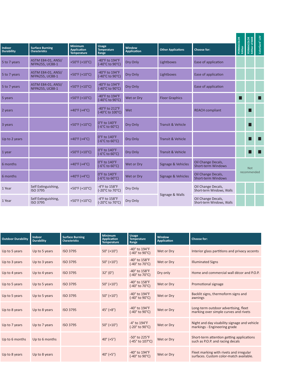| <b>ACOLOR</b><br>LE3648<br>ard" LUV |   |                                                 |                           |                       |                                                         |                                       |                                                  |                             |  |
|-------------------------------------|---|-------------------------------------------------|---------------------------|-----------------------|---------------------------------------------------------|---------------------------------------|--------------------------------------------------|-----------------------------|--|
|                                     |   | Choose for:                                     | <b>Other Applications</b> | Window<br>Application | Usage<br>Temperature<br>Range                           | Minimum<br>Application<br>Temperature | <b>Surface Burning</b><br><b>Characteristics</b> | <b>Indoor</b><br>Durability |  |
|                                     |   | Ease of application                             | Lightboxes                | Dry Only              | -40°F to 194°F<br>(-40°C to 90°C)                       | +50°F (+10°C)                         | <b>ASTM E84-01, ANSI/</b><br>NFPA255, UC88-1     | 5 to 7 years                |  |
|                                     |   | Ease of application                             | Lightboxes                | Dry Only              | -40°F to 194°F<br>(-40°C to 90°C)                       | +50°F (+10°C)                         | <b>ASTM E84-01, ANSI/</b><br>NFPA255, UC88-1     | 5 to 7 years                |  |
|                                     |   | Ease of application                             |                           | Dry Only              | -40°F to 194°F<br>(-40°C to 90°C)                       | +50°F (+10°C)                         | <b>ASTM E84-01, ANSI/</b><br>NFPA255, UC88-1     | 5 to 7 years                |  |
| п                                   | п |                                                 | <b>Floor Graphics</b>     | Wet or Dry            | -40°F to 194°F<br>(-40°C to 90°C)                       | +50°F (+10°C)                         |                                                  | 5 years                     |  |
| ш                                   |   | <b>REACH compliant</b>                          |                           | Wet                   | -40°F to 212°F<br>(-40°C to 100°C)                      | +40°F (+4°C)                          |                                                  | 2 years                     |  |
| ш                                   |   |                                                 | Transit & Vehicle         | Dry Only              | 0°F to 140°F<br>$(-6^{\circ}C \text{ to } 60^{\circ}C)$ | +50°F (+10°C)                         |                                                  | 3 years                     |  |
| п<br>П.                             |   |                                                 | Transit & Vehicle         | Dry Only              | 0°F to 140°F<br>$(-6^{\circ}C \text{ to } 60^{\circ}C)$ | $+40^{\circ}F(+4^{\circ}C)$           |                                                  | Up to 2 years               |  |
| a Lat                               |   |                                                 | Transit & Vehicle         | Dry Only              | 0°F to 140°F<br>$(-6^{\circ}C \text{ to } 60^{\circ}C)$ | +50°F (+10°C)                         |                                                  | 1 year                      |  |
| Not                                 |   | Oil Change Decals,<br>Short-term Windows        | Signage & Vehicles        | Wet or Dry            | 0°F to 140°F<br>(-6°C to 60°C)                          | +40°F (+4°C)                          |                                                  | 6 months                    |  |
| recommended                         |   | Oil Change Decals,<br>Short-term Windows        | Signage & Vehicles        | Wet or Dry            | 0°F to 140°F<br>$(-6^{\circ}C \text{ to } 60^{\circ}C)$ | +40°F (+4°C)                          |                                                  | 6 months                    |  |
|                                     |   | Oil Change Decals,<br>Short-term Windows, Walls |                           | Dry Only              | -4°F to 158°F<br>(-20°C to 70°C)                        | +50°F (+10°C)                         | Self Extinguishing,<br>ISO 3795                  | 1 Year                      |  |
|                                     |   | Oil Change Decals,<br>Short-term Windows, Walls | Signage & Walls           | Dry Only              | -4°F to 158°F<br>(-20°C to 70°C)                        | +50°F (+10°C)                         | Self Extinguishing,<br>ISO 3795                  | 1 Year                      |  |
|                                     |   |                                                 |                           |                       |                                                         |                                       |                                                  |                             |  |

| <b>Outdoor Durability</b> | Indoor<br><b>Durability</b> | <b>Surface Burning</b><br><b>Characteristics</b> | <b>Minimum</b><br><b>Application</b><br>Temperature, | <b>Usage</b><br>Temperature<br>Range                 | Window<br>Application | <b>Choose for:</b>                                                                 |
|---------------------------|-----------------------------|--------------------------------------------------|------------------------------------------------------|------------------------------------------------------|-----------------------|------------------------------------------------------------------------------------|
| Up to 5 years             | Up to 5 years               | ISO 3795                                         | $50^{\circ}$ (+10 $^{\circ}$ )                       | -40° to 194°F<br>(-40° to 90°C)                      | Wet or Dry            | Interior glass partitions and privacy accents                                      |
| Up to 3 years             | Up to 3 years               | ISO 3795                                         | $50^{\circ}$ (+10 $^{\circ}$ )                       | -40° to 158°F<br>(-40° to 70°C)                      | Wet or Dry            | <b>Illuminated Signs</b>                                                           |
| Up to 4 years             | Up to 4 years               | ISO 3795                                         | $32^{\circ} (0^{\circ})$                             | -40° to 158°F<br>(-40° to 70°C)                      | Dry only              | Home and commercial wall décor and P.O.P.                                          |
| Up to 5 years             | Up to 5 years               | ISO 3795                                         | $50^{\circ}$ (+10 $^{\circ}$ )                       | -40° to 158°F<br>(-40° to 70°C)                      | Wet or Dry            | Promotional signage                                                                |
| Up to 5 years             | Up to 5 years               | ISO 3795                                         | $50^{\circ}$ (+10 $^{\circ}$ )                       | -40 $^{\circ}$ to 194 $^{\circ}$ F<br>(-40° to 90°C) | Wet or Dry            | Backlit signs, thermoform signs and<br>awnings                                     |
| Up to 8 years             | Up to 8 years               | ISO 3795                                         | $45^{\circ}$ (+8°)                                   | -40° to 194°F<br>(-40° to 90°C)                      | Wet or Dry            | Long-term outdoor advertising, fleet<br>marking over simple curves and rivets      |
| Up to 7 years             | Up to 7 years               | ISO 3795                                         | $50^{\circ}$ (+10 $^{\circ}$ )                       | -4° to 194°F<br>(-20° to 90°C)                       | Wet or Dry            | Night and day visability signage and vehicle<br>markings - Engineering grade       |
| Up to 6 months            | Up to 6 months              |                                                  | $40^{\circ}$ (+5°)                                   | -50° to 225°F<br>(-45° to 107°C)                     | Wet or Dry            | Short-term attention getting applications<br>such as P.O.P. and racing decals      |
| Up to 8 years             | Up to 8 years               |                                                  | $40^{\circ}$ (+5°)                                   | -40° to 194°F<br>(-40° to 90°C)                      | Wet or Dry            | Fleet marking with rivets and irregular<br>surfaces. Custom color-match available. |
|                           |                             |                                                  |                                                      |                                                      |                       |                                                                                    |